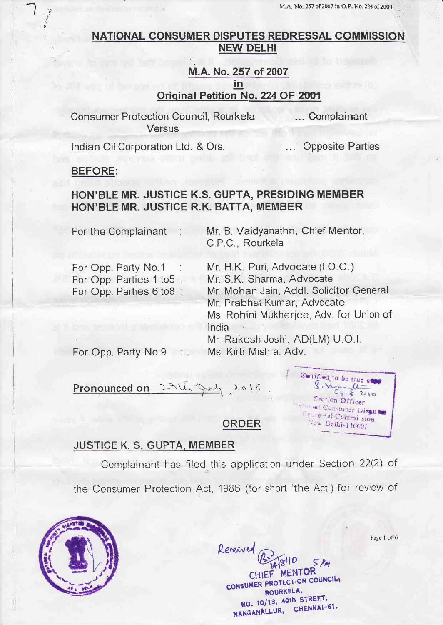## NATIONAL CONSUMER DISPUTES REDRESSAL COMMISSION **NEW DELHI**

## M.A. No. 257 of 2007 in Original Petition No. 224 OF 2001

**Consumer Protection Council, Rourkela** Versus

... Complainant

Indian Oil Corporation Ltd. & Ors.

**Opposite Parties** 

#### **BEFORE:**

# HON'BLE MR. JUSTICE K.S. GUPTA, PRESIDING MEMBER HON'BLE MR. JUSTICE R.K. BATTA, MEMBER

For the Complainant :

Mr. B. Vaidyanathn, Chief Mentor, C.P.C., Rourkela

For Opp. Party No.1 For Opp. Parties 1 to 5: For Opp. Parties 6 to8 :

Mr. H.K. Puri, Advocate (I.O.C.)

Mr. S.K. Sharma, Advocate

Mr. Mohan Jain, Addl. Solicitor General Mr. Prabhat Kumar, Advocate Ms. Rohini Mukherjee, Adv. for Union of

India

Cartified to be true co

Section Officer kHowal Construct Disause Refressal Commi sion New Delhi-110001

Mr. Rakesh Joshi, AD(LM)-U.O.I. For Opp. Party No.9 : Ms. Kirti Mishra, Adv.

Pronounced on  $2010$ .

**ORDER** 

## **JUSTICE K. S. GUPTA, MEMBER**

Complainant has filed this application under Section 22(2) of

the Consumer Protection Act, 1986 (for short 'the Act') for review of



Received

**MENTOR CHILL** CONSUMER PROTECTION COUNCILI ROURKELA, NO. 10/13, 40th STREET, NANGANALLUR, CHENNAI-61.

Page 1 of 6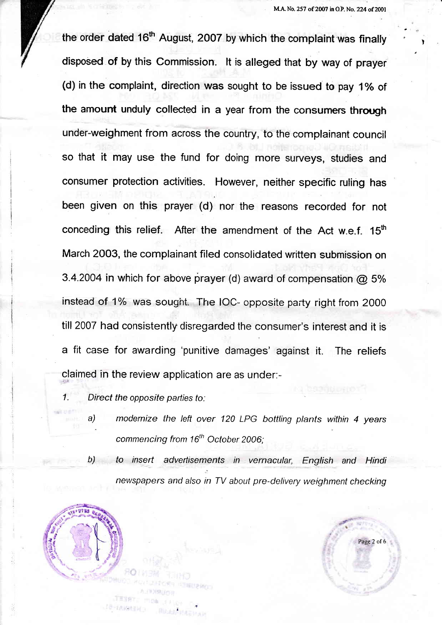!

the order dated 16<sup>th</sup> August, 2007 by which the complaint was finally disposed of by this commission, lt is alfeged that by way of prayer (d) in the complaint, direction was sought to be issued to pay 1% of the amount unduly collected in a year from the consumers through under-weighment from across the country, to the complainant council so that it may use the fund for doing more suryeys, studies and consumer protection activities. However, neither specific ruling has been given on this prayer (d) nor the reasons recorded for not conceding this relief. After the amendment of the Act w.e.f.  $15<sup>th</sup>$ March 2003, the complainant filed consolidated written submission on 3.4.2004 in which for above prayer (d) award of compensation  $@$  5% instead of 1% was sought. The IOC- opposite party right from 2000 till 2007 had consistently disregarded the consumer's interest and it is a fit case for awarding 'punitive damages' against it. The reliefs claimed in the review application are as under:-

1. Direct the opposite parties to:

- a) modemize the left over 120 LPG bottling plants within 4 years commencing from 16<sup>th</sup> October 2006:
- b) to insert advertisements in vernacular, English and Hindi newspapers and also in TV about pre-delivery weighment checking



**REALISTANT** 

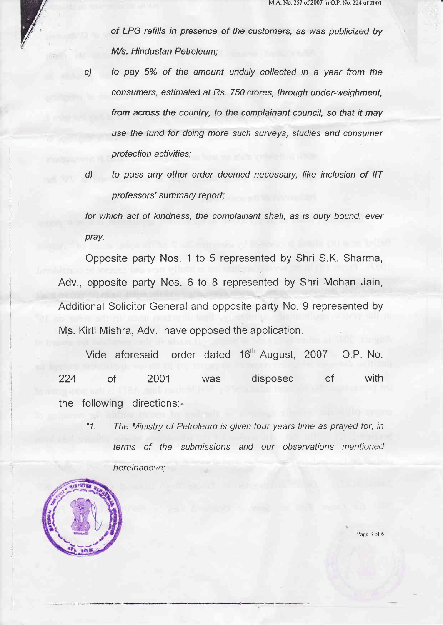of LPG refills in presence of the customers, as was publicized by M/s. Hindustan Petroleum;

- c) to pay 5% of the amount unduly collected in a year from the consumers, estimated af Rs. 750 crores, through under-weighment, from across the country, to the complainant council, so that it may use the fund for doing more such surveys, studies and consumer protection activities;
- d) to pass any other order deemed necessary, like inclusion of IIT professors' summary report;

for which act of kindness, the complainant shall, as is duty bound, ever pray.

Opposite party Nos. 1 to 5 represented by Shri S.K. Sharma, Adv., opposite party Nos. 6 to 8 represented by Shri Mohan Jain, Additional Solicitor General and opposite party No. 9 represented by Ms. Kirti Mishra, Adv. have opposed the application.

Vide aforesaid order dated 16<sup>th</sup> August, 2007 – O.P. No. 224 of 2001 was disposed of with the following directions:-

"1. The Ministry of Petroleum is given four years time as prayed for, in terms of the submissions and our observations mentioned hereinabove:



Page 3 of 6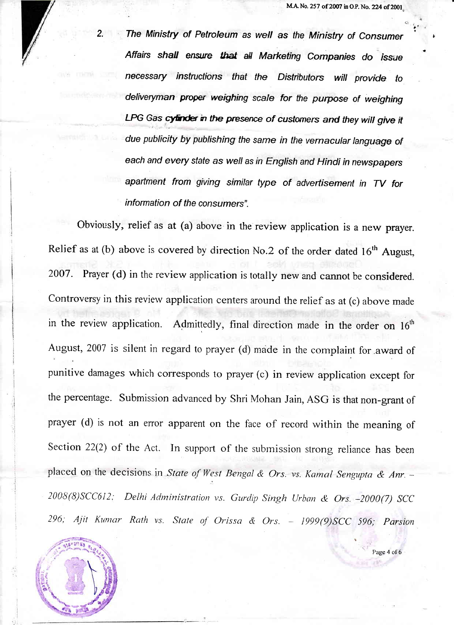The Ministry of Petroleum as well as the Ministry of Consumer Affairs shall ensure that all Marketing Companies do issue necessary instructions that the Distributors will provide to deliveryman proper weighing scale for the purpose of weighing LPG Gas cytinder in the presence of customers and they will give it due publicity by publishing the same in the vernacular language of each and every sfafe as well as in English and Hindi in newspapers apartment from giving similar type of advertisement in TV for information of the consumers".

Obviously, relief as at (a) above in the review application is a new prayer. Relief as at (b) above is covered by direction No.2 of the order dated  $16<sup>th</sup>$  August, 2007. Prayer (d) in the review application is totally new and cannot be considered. Controversy in this review application centers around the relief as at (c) above made in the review application. Admittedly, final direction made in the order on  $16<sup>th</sup>$ August, 2007 is silent in regard to prayer (d) made in the complaint for award of punitive damages which corresponds to prayer (c) in review application except for the percentage. Submission advanced by Shri Mohan Jain, ASG is that non-grant of prayer (d) is not an error apparent on the face of record within the meaning of Section 22(2) of the Act. In support of the submission strong reliance has been placed on the decisions in State of West Bengal & Ors. vs. Kamal Sengupta & Anr. -2008(8)SCC612; Delhi Administration vs. Gurdip Singh Urban & Ors. -2000(7) SCC 296; Ajit Kumar Rath vs. State of Orissa & Ors. - 1999(9)SCC 596; Parsion



Page 4 of 6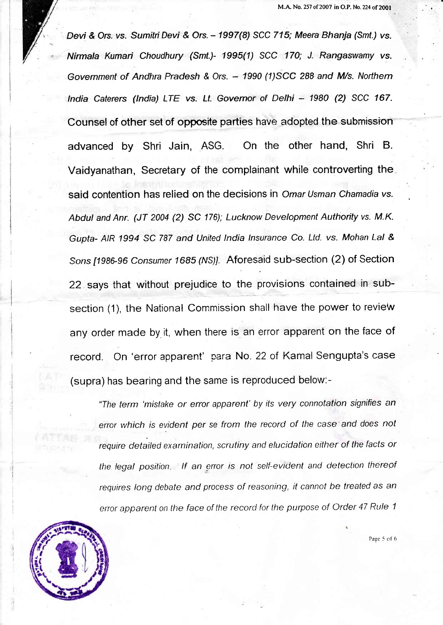Devi& Ors. vs. Sumiti Devi & Ors. - 1997(8) SCC 715; Meera Bhanja (Smf.) vs. Nirmala Kumari Choudhury (Smt.)- 1995(1) SCC 170; J. Rangaswamy vs. Government of Andhra Pradesh & Ors. - 1990 (1)SCC 288 and M/s. Northern India Caterers (India) LTE vs. Lt. Governor of Delhi - 1980 (2) SCC 167. Counsel of other set of opposite parties have adopted the submission advanced by Shri Jain, ASG. On the other hand, Shri B. Vaidyanathan, Secretary of the complainant while controverting the said contention has relied on the decisions in Omar Usman Chamadia vs. Abdul and Anr. (JT 2004 (2) SC 176); Lucknow Development Authority vs. M.K. Gupta- AIR 1994 SC 787 and United lndia Insurance Co. Ltd. vs. Mohan Lal & Sons [1986-96 Consumer 1685 (NS)]. Aforesaid sub-section (2) of Section 22 says that without prejudice to the provisions contained in subsection (1), the National Commission shall have the power to revieW any order made by it, when there is an error apparent on the face of record. On 'error apparent' para No. 22 of Kamal Sengupta's case (supra) has bearing and the same is reproduced below:-

"The term 'mistake or error apparent' by its very connotation signifies en error which is evident per se from the record of the case and does not require detailed examination, scrutiny and elucidation either of the facts or the legal position. If an error is not self-evident and detection thereof requires long debate and process of reasoning, it cannot be treated as an error apparent on the face of the record for the purpose of Order 47 Rule 1



Page 5 of 6